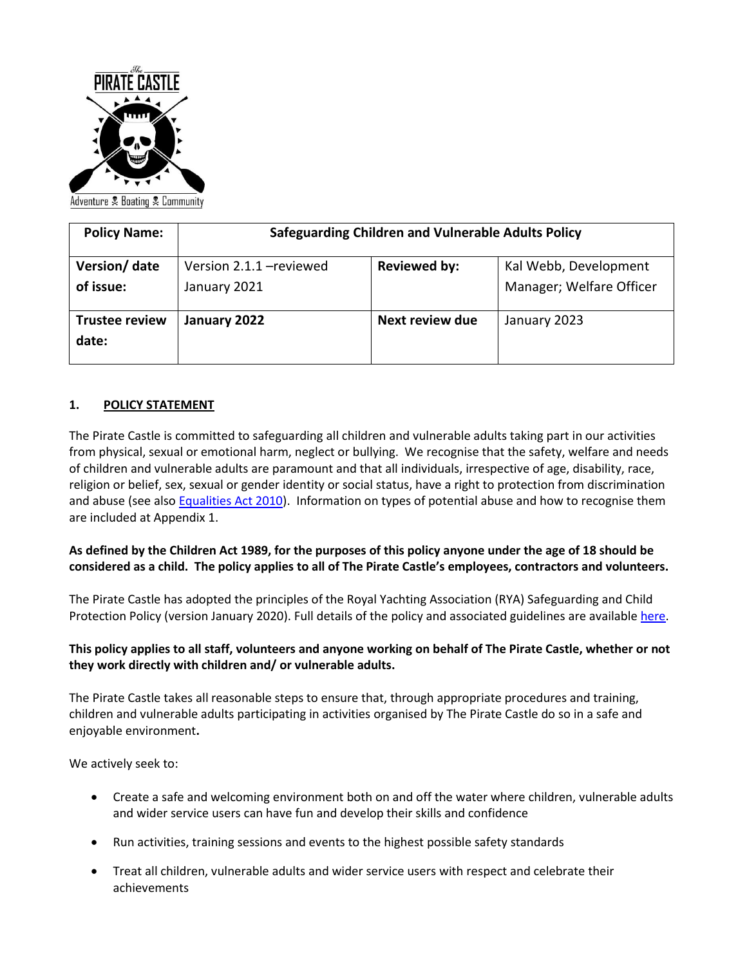

| <b>Policy Name:</b>            | Safeguarding Children and Vulnerable Adults Policy |                     |                                                   |
|--------------------------------|----------------------------------------------------|---------------------|---------------------------------------------------|
| Version/ date<br>of issue:     | Version 2.1.1 - reviewed<br>January 2021           | <b>Reviewed by:</b> | Kal Webb, Development<br>Manager; Welfare Officer |
| <b>Trustee review</b><br>date: | January 2022                                       | Next review due     | January 2023                                      |

### **1. POLICY STATEMENT**

The Pirate Castle is committed to safeguarding all children and vulnerable adults taking part in our activities from physical, sexual or emotional harm, neglect or bullying. We recognise that the safety, welfare and needs of children and vulnerable adults are paramount and that all individuals, irrespective of age, disability, race, religion or belief, sex, sexual or gender identity or social status, have a right to protection from discrimination and abuse (see als[o Equalities Act 2010\)](https://www.equalityhumanrights.com/sites/default/files/what_equality_law_means_for_your_vol_or_community_sector_organisation.pdf). Information on types of potential abuse and how to recognise them are included at Appendix 1.

## **As defined by the Children Act 1989, for the purposes of this policy anyone under the age of 18 should be considered as a child. The policy applies to all of The Pirate Castle's employees, contractors and volunteers.**

The Pirate Castle has adopted the principles of the Royal Yachting Association (RYA) Safeguarding and Child Protection Policy (version January 2020). Full details of the policy and associated guidelines are available [here.](https://www.rya.org.uk/SiteCollectionDocuments/hr-administration/administration/child-protection-guidelines/RYA%20Safeguarding%20and%20Child%20Protection%20Guidelines%20Jan%202020.pdf)

## **This policy applies to all staff, volunteers and anyone working on behalf of The Pirate Castle, whether or not they work directly with children and/ or vulnerable adults.**

The Pirate Castle takes all reasonable steps to ensure that, through appropriate procedures and training, children and vulnerable adults participating in activities organised by The Pirate Castle do so in a safe and enjoyable environment**.** 

We actively seek to:

- Create a safe and welcoming environment both on and off the water where children, vulnerable adults and wider service users can have fun and develop their skills and confidence
- Run activities, training sessions and events to the highest possible safety standards
- Treat all children, vulnerable adults and wider service users with respect and celebrate their achievements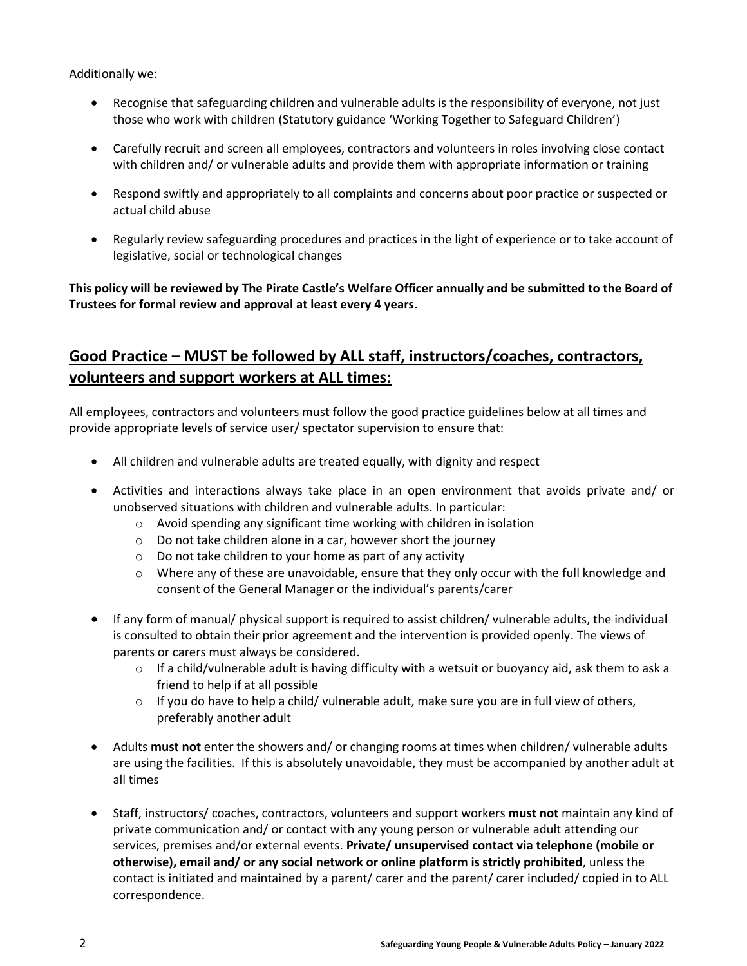Additionally we:

- Recognise that safeguarding children and vulnerable adults is the responsibility of everyone, not just those who work with children (Statutory guidance 'Working Together to Safeguard Children')
- Carefully recruit and screen all employees, contractors and volunteers in roles involving close contact with children and/ or vulnerable adults and provide them with appropriate information or training
- Respond swiftly and appropriately to all complaints and concerns about poor practice or suspected or actual child abuse
- Regularly review safeguarding procedures and practices in the light of experience or to take account of legislative, social or technological changes

## **This policy will be reviewed by The Pirate Castle's Welfare Officer annually and be submitted to the Board of Trustees for formal review and approval at least every 4 years.**

# **Good Practice – MUST be followed by ALL staff, instructors/coaches, contractors, volunteers and support workers at ALL times:**

All employees, contractors and volunteers must follow the good practice guidelines below at all times and provide appropriate levels of service user/ spectator supervision to ensure that:

- All children and vulnerable adults are treated equally, with dignity and respect
- Activities and interactions always take place in an open environment that avoids private and/ or unobserved situations with children and vulnerable adults. In particular:
	- o Avoid spending any significant time working with children in isolation
	- o Do not take children alone in a car, however short the journey
	- o Do not take children to your home as part of any activity
	- $\circ$  Where any of these are unavoidable, ensure that they only occur with the full knowledge and consent of the General Manager or the individual's parents/carer
- If any form of manual/ physical support is required to assist children/ vulnerable adults, the individual is consulted to obtain their prior agreement and the intervention is provided openly. The views of parents or carers must always be considered.
	- $\circ$  If a child/vulnerable adult is having difficulty with a wetsuit or buoyancy aid, ask them to ask a friend to help if at all possible
	- $\circ$  If you do have to help a child/ vulnerable adult, make sure you are in full view of others, preferably another adult
- Adults **must not** enter the showers and/ or changing rooms at times when children/ vulnerable adults are using the facilities. If this is absolutely unavoidable, they must be accompanied by another adult at all times
- Staff, instructors/ coaches, contractors, volunteers and support workers **must not** maintain any kind of private communication and/ or contact with any young person or vulnerable adult attending our services, premises and/or external events. **Private/ unsupervised contact via telephone (mobile or otherwise), email and/ or any social network or online platform is strictly prohibited**, unless the contact is initiated and maintained by a parent/ carer and the parent/ carer included/ copied in to ALL correspondence.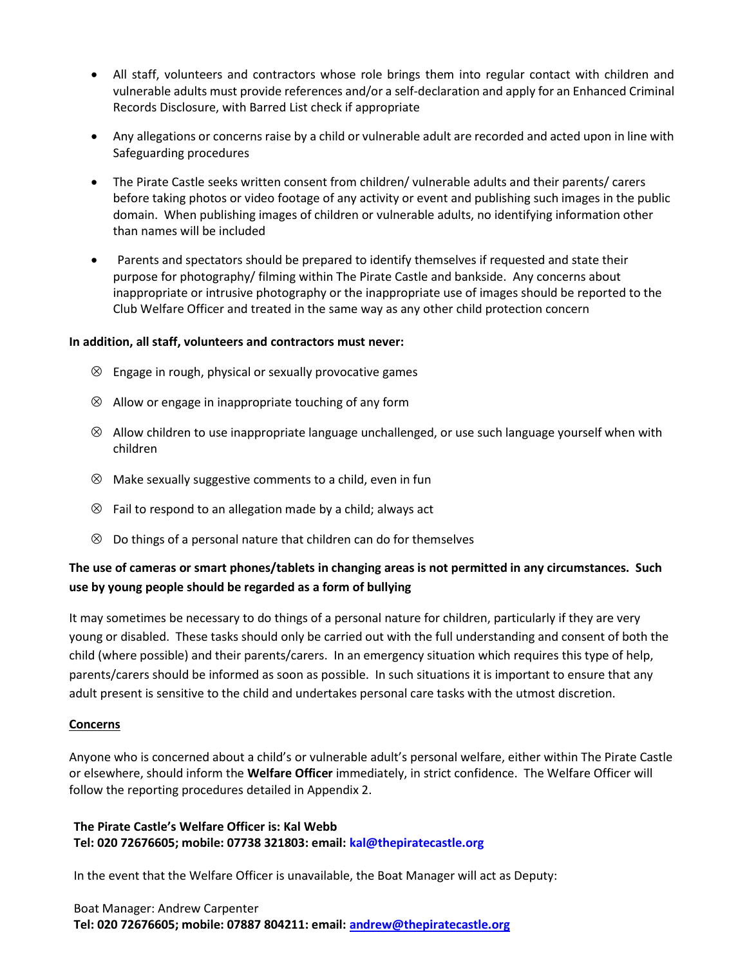- All staff, volunteers and contractors whose role brings them into regular contact with children and vulnerable adults must provide references and/or a self-declaration and apply for an Enhanced Criminal Records Disclosure, with Barred List check if appropriate
- Any allegations or concerns raise by a child or vulnerable adult are recorded and acted upon in line with Safeguarding procedures
- The Pirate Castle seeks written consent from children/ vulnerable adults and their parents/ carers before taking photos or video footage of any activity or event and publishing such images in the public domain. When publishing images of children or vulnerable adults, no identifying information other than names will be included
- Parents and spectators should be prepared to identify themselves if requested and state their purpose for photography/ filming within The Pirate Castle and bankside. Any concerns about inappropriate or intrusive photography or the inappropriate use of images should be reported to the Club Welfare Officer and treated in the same way as any other child protection concern

#### **In addition, all staff, volunteers and contractors must never:**

- $\otimes$  Engage in rough, physical or sexually provocative games
- $\otimes$  Allow or engage in inappropriate touching of any form
- $\otimes$  Allow children to use inappropriate language unchallenged, or use such language yourself when with children
- $\otimes$  Make sexually suggestive comments to a child, even in fun
- $\otimes$  Fail to respond to an allegation made by a child; always act
- $\otimes$  Do things of a personal nature that children can do for themselves

## **The use of cameras or smart phones/tablets in changing areas is not permitted in any circumstances. Such use by young people should be regarded as a form of bullying**

It may sometimes be necessary to do things of a personal nature for children, particularly if they are very young or disabled. These tasks should only be carried out with the full understanding and consent of both the child (where possible) and their parents/carers. In an emergency situation which requires this type of help, parents/carers should be informed as soon as possible. In such situations it is important to ensure that any adult present is sensitive to the child and undertakes personal care tasks with the utmost discretion.

#### **Concerns**

Anyone who is concerned about a child's or vulnerable adult's personal welfare, either within The Pirate Castle or elsewhere, should inform the **Welfare Officer** immediately, in strict confidence. The Welfare Officer will follow the reporting procedures detailed in Appendix 2.

### **The Pirate Castle's Welfare Officer is: Kal Webb Tel: 020 72676605; mobile: 07738 321803: email: [kal@thepiratecastle.org](mailto:kal@thepiratecastle.org)**

In the event that the Welfare Officer is unavailable, the Boat Manager will act as Deputy:

#### Boat Manager: Andrew Carpenter **Tel: 020 72676605; mobile: 07887 804211: email: [andrew@thepiratecastle.org](mailto:andrew@thepiratecastle.org)**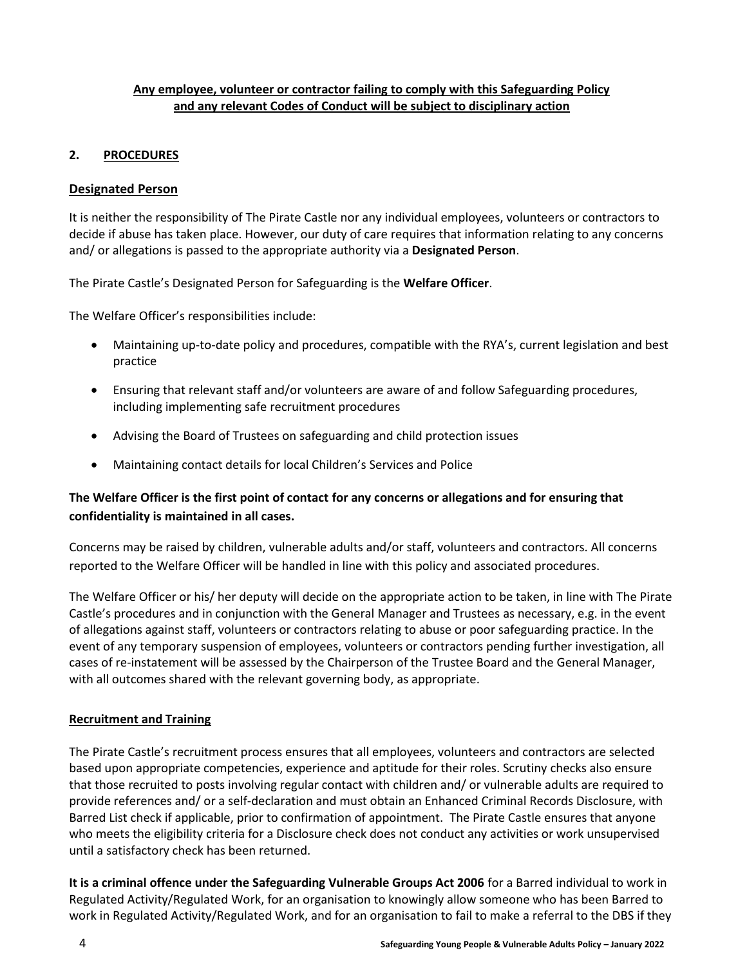### **Any employee, volunteer or contractor failing to comply with this Safeguarding Policy and any relevant Codes of Conduct will be subject to disciplinary action**

## **2. PROCEDURES**

## **Designated Person**

It is neither the responsibility of The Pirate Castle nor any individual employees, volunteers or contractors to decide if abuse has taken place. However, our duty of care requires that information relating to any concerns and/ or allegations is passed to the appropriate authority via a **Designated Person**.

The Pirate Castle's Designated Person for Safeguarding is the **Welfare Officer**.

The Welfare Officer's responsibilities include:

- Maintaining up-to-date policy and procedures, compatible with the RYA's, current legislation and best practice
- Ensuring that relevant staff and/or volunteers are aware of and follow Safeguarding procedures, including implementing safe recruitment procedures
- Advising the Board of Trustees on safeguarding and child protection issues
- Maintaining contact details for local Children's Services and Police

## **The Welfare Officer is the first point of contact for any concerns or allegations and for ensuring that confidentiality is maintained in all cases.**

Concerns may be raised by children, vulnerable adults and/or staff, volunteers and contractors. All concerns reported to the Welfare Officer will be handled in line with this policy and associated procedures.

The Welfare Officer or his/ her deputy will decide on the appropriate action to be taken, in line with The Pirate Castle's procedures and in conjunction with the General Manager and Trustees as necessary, e.g. in the event of allegations against staff, volunteers or contractors relating to abuse or poor safeguarding practice. In the event of any temporary suspension of employees, volunteers or contractors pending further investigation, all cases of re-instatement will be assessed by the Chairperson of the Trustee Board and the General Manager, with all outcomes shared with the relevant governing body, as appropriate.

## **Recruitment and Training**

The Pirate Castle's recruitment process ensures that all employees, volunteers and contractors are selected based upon appropriate competencies, experience and aptitude for their roles. Scrutiny checks also ensure that those recruited to posts involving regular contact with children and/ or vulnerable adults are required to provide references and/ or a self-declaration and must obtain an Enhanced Criminal Records Disclosure, with Barred List check if applicable, prior to confirmation of appointment. The Pirate Castle ensures that anyone who meets the eligibility criteria for a Disclosure check does not conduct any activities or work unsupervised until a satisfactory check has been returned.

**It is a criminal offence under the Safeguarding Vulnerable Groups Act 2006** for a Barred individual to work in Regulated Activity/Regulated Work, for an organisation to knowingly allow someone who has been Barred to work in Regulated Activity/Regulated Work, and for an organisation to fail to make a referral to the DBS if they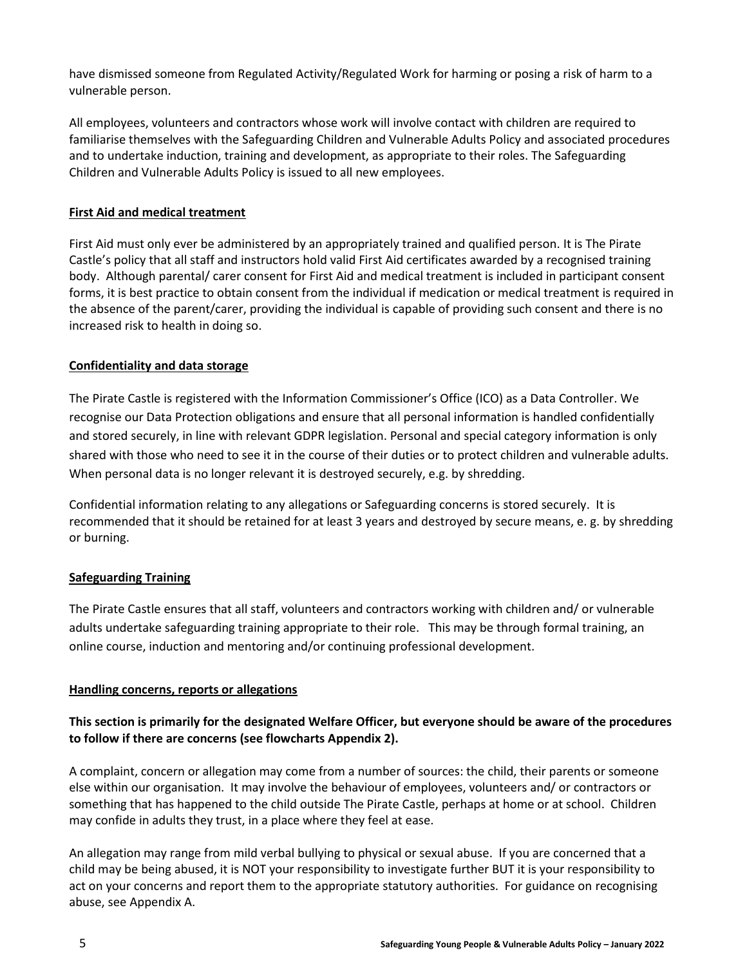have dismissed someone from Regulated Activity/Regulated Work for harming or posing a risk of harm to a vulnerable person.

All employees, volunteers and contractors whose work will involve contact with children are required to familiarise themselves with the Safeguarding Children and Vulnerable Adults Policy and associated procedures and to undertake induction, training and development, as appropriate to their roles. The Safeguarding Children and Vulnerable Adults Policy is issued to all new employees.

## **First Aid and medical treatment**

First Aid must only ever be administered by an appropriately trained and qualified person. It is The Pirate Castle's policy that all staff and instructors hold valid First Aid certificates awarded by a recognised training body. Although parental/ carer consent for First Aid and medical treatment is included in participant consent forms, it is best practice to obtain consent from the individual if medication or medical treatment is required in the absence of the parent/carer, providing the individual is capable of providing such consent and there is no increased risk to health in doing so.

### **Confidentiality and data storage**

The Pirate Castle is registered with the Information Commissioner's Office (ICO) as a Data Controller. We recognise our Data Protection obligations and ensure that all personal information is handled confidentially and stored securely, in line with relevant GDPR legislation. Personal and special category information is only shared with those who need to see it in the course of their duties or to protect children and vulnerable adults. When personal data is no longer relevant it is destroyed securely, e.g. by shredding.

Confidential information relating to any allegations or Safeguarding concerns is stored securely. It is recommended that it should be retained for at least 3 years and destroyed by secure means, e. g. by shredding or burning.

#### **Safeguarding Training**

The Pirate Castle ensures that all staff, volunteers and contractors working with children and/ or vulnerable adults undertake safeguarding training appropriate to their role. This may be through formal training, an online course, induction and mentoring and/or continuing professional development.

#### **Handling concerns, reports or allegations**

## **This section is primarily for the designated Welfare Officer, but everyone should be aware of the procedures to follow if there are concerns (see flowcharts Appendix 2).**

A complaint, concern or allegation may come from a number of sources: the child, their parents or someone else within our organisation. It may involve the behaviour of employees, volunteers and/ or contractors or something that has happened to the child outside The Pirate Castle, perhaps at home or at school. Children may confide in adults they trust, in a place where they feel at ease.

An allegation may range from mild verbal bullying to physical or sexual abuse. If you are concerned that a child may be being abused, it is NOT your responsibility to investigate further BUT it is your responsibility to act on your concerns and report them to the appropriate statutory authorities. For guidance on recognising abuse, see Appendix A.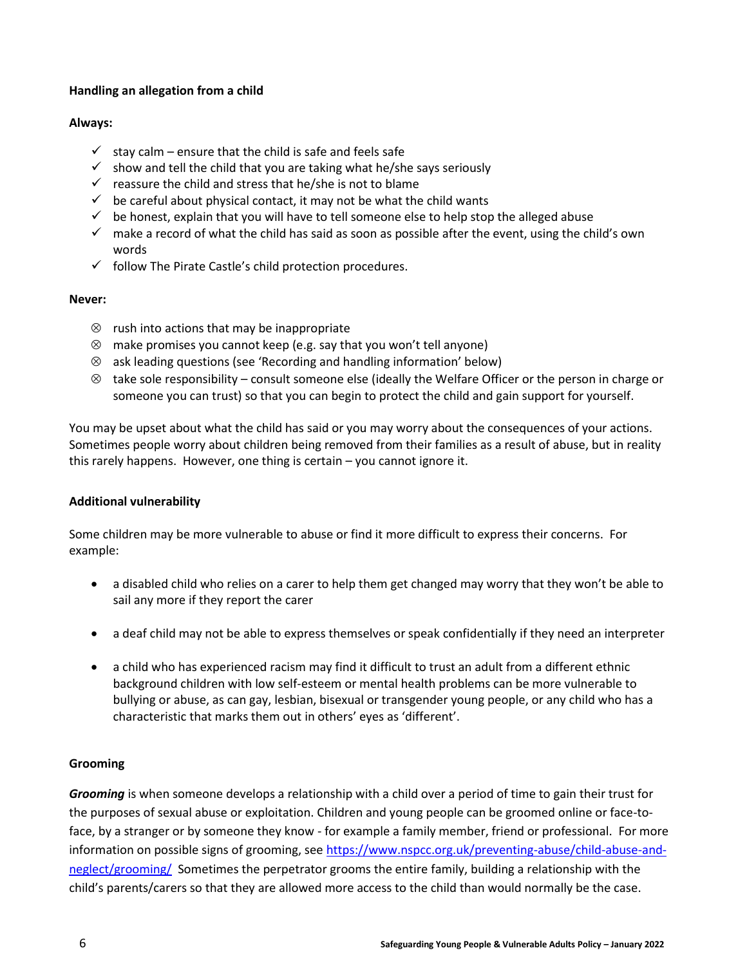### **Handling an allegation from a child**

#### **Always:**

- $\checkmark$  stay calm ensure that the child is safe and feels safe
- $\checkmark$  show and tell the child that you are taking what he/she says seriously
- $\checkmark$  reassure the child and stress that he/she is not to blame
- $\checkmark$  be careful about physical contact, it may not be what the child wants
- $\checkmark$  be honest, explain that you will have to tell someone else to help stop the alleged abuse
- $\checkmark$  make a record of what the child has said as soon as possible after the event, using the child's own words
- $\checkmark$  follow The Pirate Castle's child protection procedures.

#### **Never:**

- $\otimes$  rush into actions that may be inappropriate
- $\otimes$  make promises you cannot keep (e.g. say that you won't tell anyone)
- ask leading questions (see 'Recording and handling information' below)
- $\otimes$  take sole responsibility consult someone else (ideally the Welfare Officer or the person in charge or someone you can trust) so that you can begin to protect the child and gain support for yourself.

You may be upset about what the child has said or you may worry about the consequences of your actions. Sometimes people worry about children being removed from their families as a result of abuse, but in reality this rarely happens. However, one thing is certain – you cannot ignore it.

## **Additional vulnerability**

Some children may be more vulnerable to abuse or find it more difficult to express their concerns. For example:

- a disabled child who relies on a carer to help them get changed may worry that they won't be able to sail any more if they report the carer
- a deaf child may not be able to express themselves or speak confidentially if they need an interpreter
- a child who has experienced racism may find it difficult to trust an adult from a different ethnic background children with low self-esteem or mental health problems can be more vulnerable to bullying or abuse, as can gay, lesbian, bisexual or transgender young people, or any child who has a characteristic that marks them out in others' eyes as 'different'.

## **Grooming**

*Grooming* is when someone develops a relationship with a child over a period of time to gain their trust for the purposes of sexual abuse or exploitation. Children and young people can be groomed online or face-toface, by a stranger or by someone they know - for example a family member, friend or professional. For more information on possible signs of grooming, see [https://www.nspcc.org.uk/preventing-abuse/child-abuse-and](https://www.nspcc.org.uk/preventing-abuse/child-abuse-and-neglect/grooming/)[neglect/grooming/](https://www.nspcc.org.uk/preventing-abuse/child-abuse-and-neglect/grooming/) Sometimes the perpetrator grooms the entire family, building a relationship with the child's parents/carers so that they are allowed more access to the child than would normally be the case.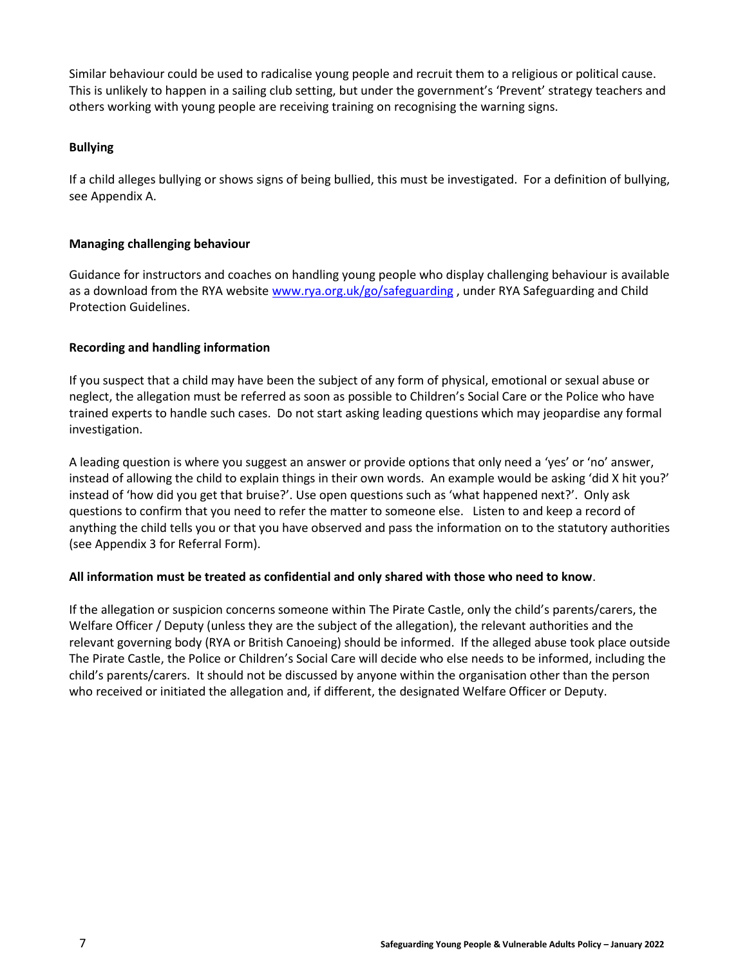Similar behaviour could be used to radicalise young people and recruit them to a religious or political cause. This is unlikely to happen in a sailing club setting, but under the government's 'Prevent' strategy teachers and others working with young people are receiving training on recognising the warning signs.

#### **Bullying**

If a child alleges bullying or shows signs of being bullied, this must be investigated. For a definition of bullying, see Appendix A.

#### **Managing challenging behaviour**

Guidance for instructors and coaches on handling young people who display challenging behaviour is available as a download from the RYA website [www.rya.org.uk/go/safeguarding](http://www.rya.org.uk/go/safeguarding), under RYA Safeguarding and Child Protection Guidelines.

### **Recording and handling information**

If you suspect that a child may have been the subject of any form of physical, emotional or sexual abuse or neglect, the allegation must be referred as soon as possible to Children's Social Care or the Police who have trained experts to handle such cases. Do not start asking leading questions which may jeopardise any formal investigation.

A leading question is where you suggest an answer or provide options that only need a 'yes' or 'no' answer, instead of allowing the child to explain things in their own words. An example would be asking 'did X hit you?' instead of 'how did you get that bruise?'. Use open questions such as 'what happened next?'. Only ask questions to confirm that you need to refer the matter to someone else. Listen to and keep a record of anything the child tells you or that you have observed and pass the information on to the statutory authorities (see Appendix 3 for Referral Form).

#### **All information must be treated as confidential and only shared with those who need to know**.

If the allegation or suspicion concerns someone within The Pirate Castle, only the child's parents/carers, the Welfare Officer / Deputy (unless they are the subject of the allegation), the relevant authorities and the relevant governing body (RYA or British Canoeing) should be informed. If the alleged abuse took place outside The Pirate Castle, the Police or Children's Social Care will decide who else needs to be informed, including the child's parents/carers. It should not be discussed by anyone within the organisation other than the person who received or initiated the allegation and, if different, the designated Welfare Officer or Deputy.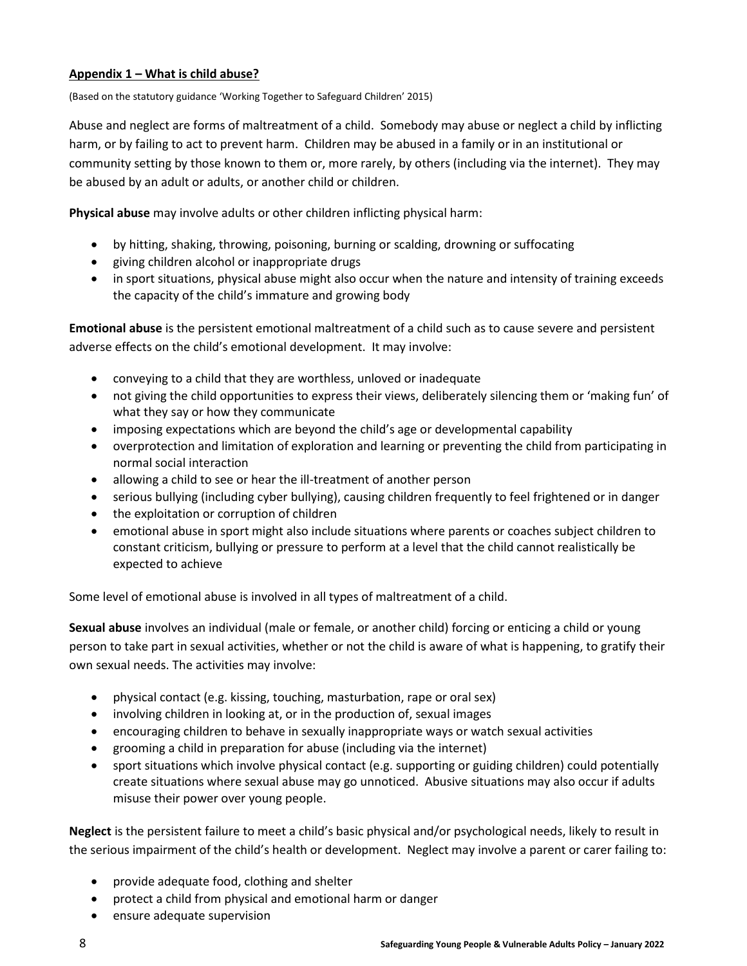### **Appendix 1 – What is child abuse?**

(Based on the statutory guidance 'Working Together to Safeguard Children' 2015)

Abuse and neglect are forms of maltreatment of a child. Somebody may abuse or neglect a child by inflicting harm, or by failing to act to prevent harm. Children may be abused in a family or in an institutional or community setting by those known to them or, more rarely, by others (including via the internet). They may be abused by an adult or adults, or another child or children.

**Physical abuse** may involve adults or other children inflicting physical harm:

- by hitting, shaking, throwing, poisoning, burning or scalding, drowning or suffocating
- giving children alcohol or inappropriate drugs
- in sport situations, physical abuse might also occur when the nature and intensity of training exceeds the capacity of the child's immature and growing body

**Emotional abuse** is the persistent emotional maltreatment of a child such as to cause severe and persistent adverse effects on the child's emotional development. It may involve:

- conveying to a child that they are worthless, unloved or inadequate
- not giving the child opportunities to express their views, deliberately silencing them or 'making fun' of what they say or how they communicate
- imposing expectations which are beyond the child's age or developmental capability
- overprotection and limitation of exploration and learning or preventing the child from participating in normal social interaction
- allowing a child to see or hear the ill-treatment of another person
- serious bullying (including cyber bullying), causing children frequently to feel frightened or in danger
- the exploitation or corruption of children
- emotional abuse in sport might also include situations where parents or coaches subject children to constant criticism, bullying or pressure to perform at a level that the child cannot realistically be expected to achieve

Some level of emotional abuse is involved in all types of maltreatment of a child.

**Sexual abuse** involves an individual (male or female, or another child) forcing or enticing a child or young person to take part in sexual activities, whether or not the child is aware of what is happening, to gratify their own sexual needs. The activities may involve:

- physical contact (e.g. kissing, touching, masturbation, rape or oral sex)
- involving children in looking at, or in the production of, sexual images
- encouraging children to behave in sexually inappropriate ways or watch sexual activities
- grooming a child in preparation for abuse (including via the internet)
- sport situations which involve physical contact (e.g. supporting or guiding children) could potentially create situations where sexual abuse may go unnoticed. Abusive situations may also occur if adults misuse their power over young people.

**Neglect** is the persistent failure to meet a child's basic physical and/or psychological needs, likely to result in the serious impairment of the child's health or development. Neglect may involve a parent or carer failing to:

- provide adequate food, clothing and shelter
- protect a child from physical and emotional harm or danger
- ensure adequate supervision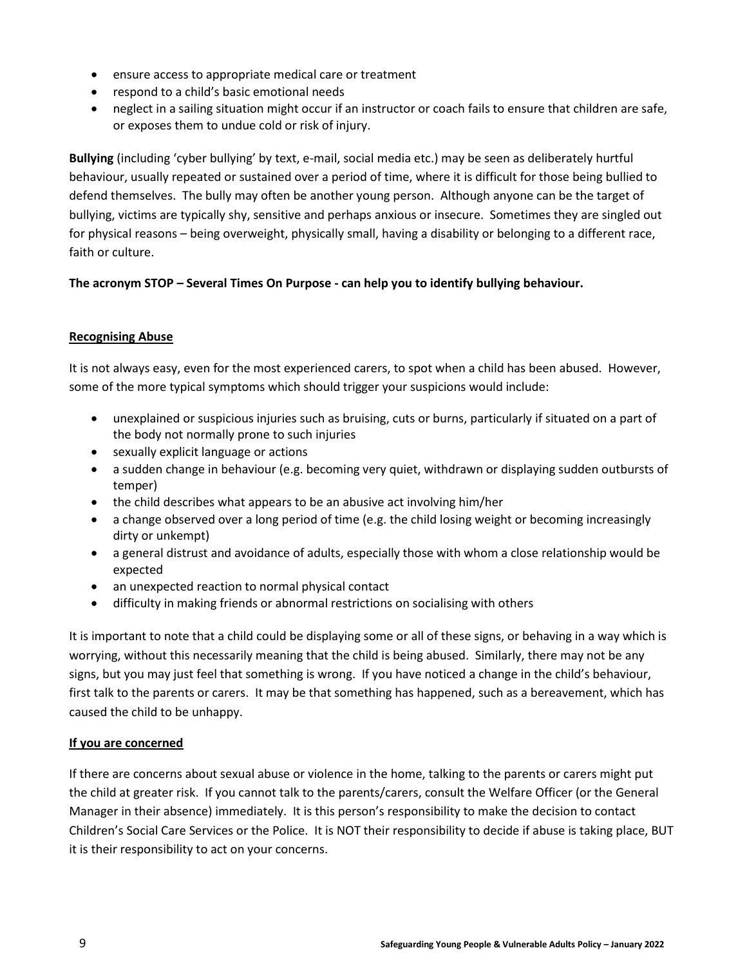- ensure access to appropriate medical care or treatment
- respond to a child's basic emotional needs
- neglect in a sailing situation might occur if an instructor or coach fails to ensure that children are safe, or exposes them to undue cold or risk of injury.

**Bullying** (including 'cyber bullying' by text, e-mail, social media etc.) may be seen as deliberately hurtful behaviour, usually repeated or sustained over a period of time, where it is difficult for those being bullied to defend themselves. The bully may often be another young person. Although anyone can be the target of bullying, victims are typically shy, sensitive and perhaps anxious or insecure. Sometimes they are singled out for physical reasons – being overweight, physically small, having a disability or belonging to a different race, faith or culture.

### **The acronym STOP – Several Times On Purpose - can help you to identify bullying behaviour.**

#### **Recognising Abuse**

It is not always easy, even for the most experienced carers, to spot when a child has been abused. However, some of the more typical symptoms which should trigger your suspicions would include:

- unexplained or suspicious injuries such as bruising, cuts or burns, particularly if situated on a part of the body not normally prone to such injuries
- sexually explicit language or actions
- a sudden change in behaviour (e.g. becoming very quiet, withdrawn or displaying sudden outbursts of temper)
- the child describes what appears to be an abusive act involving him/her
- a change observed over a long period of time (e.g. the child losing weight or becoming increasingly dirty or unkempt)
- a general distrust and avoidance of adults, especially those with whom a close relationship would be expected
- an unexpected reaction to normal physical contact
- difficulty in making friends or abnormal restrictions on socialising with others

It is important to note that a child could be displaying some or all of these signs, or behaving in a way which is worrying, without this necessarily meaning that the child is being abused. Similarly, there may not be any signs, but you may just feel that something is wrong. If you have noticed a change in the child's behaviour, first talk to the parents or carers. It may be that something has happened, such as a bereavement, which has caused the child to be unhappy.

#### **If you are concerned**

If there are concerns about sexual abuse or violence in the home, talking to the parents or carers might put the child at greater risk. If you cannot talk to the parents/carers, consult the Welfare Officer (or the General Manager in their absence) immediately. It is this person's responsibility to make the decision to contact Children's Social Care Services or the Police. It is NOT their responsibility to decide if abuse is taking place, BUT it is their responsibility to act on your concerns.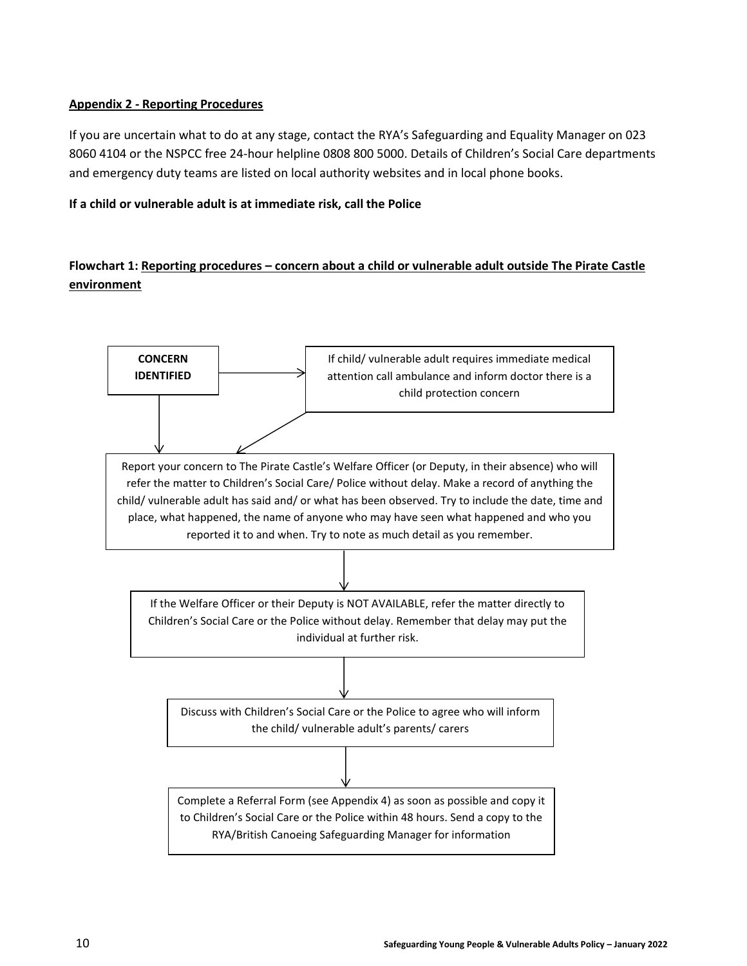## **Appendix 2 - Reporting Procedures**

If you are uncertain what to do at any stage, contact the RYA's Safeguarding and Equality Manager on 023 8060 4104 or the NSPCC free 24-hour helpline 0808 800 5000. Details of Children's Social Care departments and emergency duty teams are listed on local authority websites and in local phone books.

#### **If a child or vulnerable adult is at immediate risk, call the Police**

## **Flowchart 1: Reporting procedures – concern about a child or vulnerable adult outside The Pirate Castle environment**

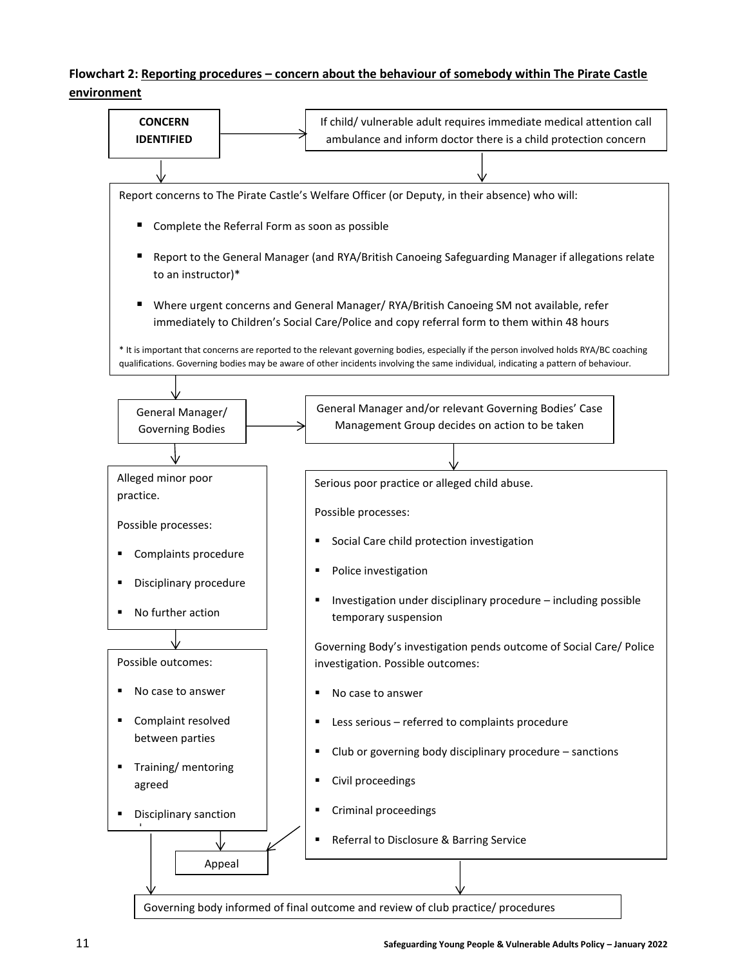## **Flowchart 2: Reporting procedures – concern about the behaviour of somebody within The Pirate Castle environment**

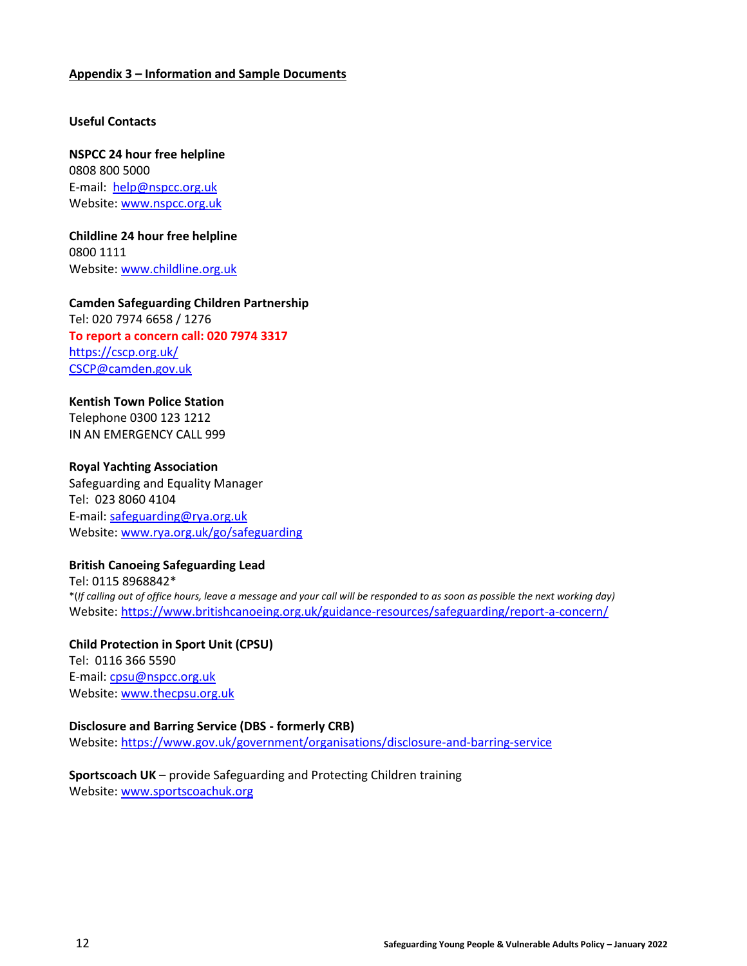#### **Appendix 3 – Information and Sample Documents**

#### **Useful Contacts**

**NSPCC 24 hour free helpline** 0808 800 5000 E-mail: [help@nspcc.org.uk](mailto:help@nspcc.org.uk) Website: [www.nspcc.org.uk](http://www.nspcc.org.uk/)

**Childline 24 hour free helpline** 0800 1111 Website: [www.childline.org.uk](http://www.childline.org.uk/)

#### **Camden Safeguarding Children Partnership**

Tel: 020 7974 6658 / 1276 **To report a concern call: 020 7974 3317** <https://cscp.org.uk/> [CSCP@camden.gov.uk](mailto:CSCP@camden.gov.uk)

#### **Kentish Town Police Station**

Telephone 0300 123 1212 IN AN EMERGENCY CALL 999

#### **Royal Yachting Association**

Safeguarding and Equality Manager Tel: 023 8060 4104 E-mail: [safeguarding@rya.org.uk](mailto:safeguarding@rya.org.uk) Website: [www.rya.org.uk/go/safeguarding](http://www.rya.org.uk/go/childprotection)

#### **British Canoeing Safeguarding Lead**

Tel: 0115 8968842\* \*(*If calling out of office hours, leave a message and your call will be responded to as soon as possible the next working day)* Website:<https://www.britishcanoeing.org.uk/guidance-resources/safeguarding/report-a-concern/>

**Child Protection in Sport Unit (CPSU)** Tel: 0116 366 5590 E-mail: [cpsu@nspcc.org.uk](mailto:cpsu@nspcc.org.uk) Website: [www.thecpsu.org.uk](http://www.thecpsu.org.uk/)

#### **Disclosure and Barring Service (DBS - formerly CRB)**

Website:<https://www.gov.uk/government/organisations/disclosure-and-barring-service>

### **Sportscoach UK** – provide Safeguarding and Protecting Children training Website: [www.sportscoachuk.org](http://www.sportscoachuk.org/)